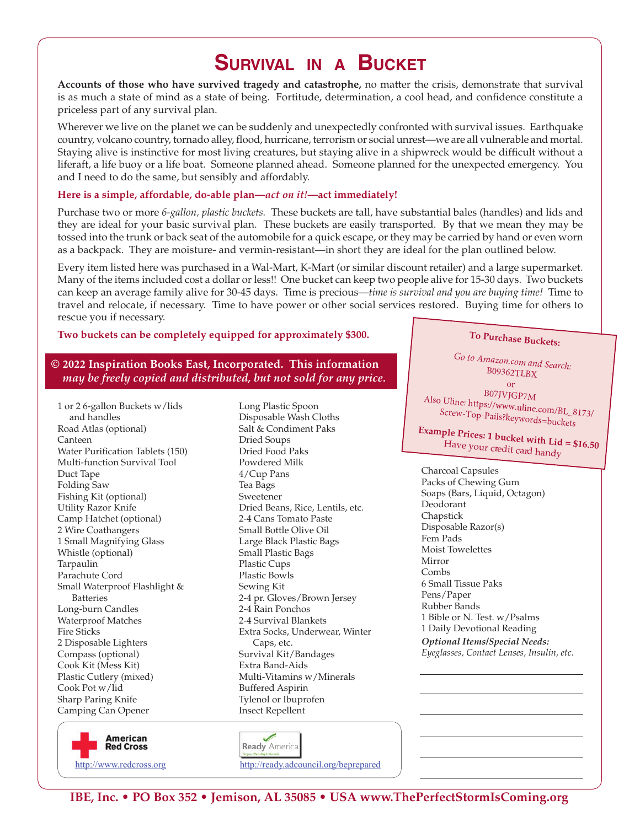# **SURVIVAL IN A BUCKET**

**Accounts of those who have survived tragedy and catastrophe,** no matter the crisis, demonstrate that survival is as much a state of mind as a state of being. Fortitude, determination, a cool head, and confidence constitute a priceless part of any survival plan.

Wherever we live on the planet we can be suddenly and unexpectedly confronted with survival issues. Earthquake country, volcano country, tornado alley, flood, hurricane, terrorism or social unrest—we are all vulnerable and mortal. Staying alive is instinctive for most living creatures, but staying alive in a shipwreck would be difficult without a liferaft, a life buoy or a life boat. Someone planned ahead. Someone planned for the unexpected emergency. You and I need to do the same, but sensibly and affordably.

### **Here is a simple, affordable, do-able plan—***act on it!***—act immediately!**

Purchase two or more *6-gallon, plastic buckets.* These buckets are tall, have substantial bales (handles) and lids and they are ideal for your basic survival plan. These buckets are easily transported. By that we mean they may be tossed into the trunk or back seat of the automobile for a quick escape, or they may be carried by hand or even worn as a backpack. They are moisture- and vermin-resistant—in short they are ideal for the plan outlined below.

Every item listed here was purchased in a Wal-Mart, K-Mart (or similar discount retailer) and a large supermarket. Many of the items included cost a dollar or less!! One bucket can keep two people alive for 15-30 days. Two buckets can keep an average family alive for 30-45 days. Time is precious—*time is survival and you are buying time!* Time to travel and relocate, if necessary. Time to have power or other social services restored. Buying time for others to rescue you if necessary.

## **Two buckets can be completely equipped for approximately \$300.**

## **© 2022 Inspiration Books East, Incorporated. This information** *may be freely copied and distributed, but not sold for any price.*

1 or 2 6-gallon Buckets w/lids and handles Road Atlas (optional) Canteen Water Purification Tablets (150) Multi-function Survival Tool Duct Tape Folding Saw Fishing Kit (optional) Utility Razor Knife Camp Hatchet (optional) 2 Wire Coathangers 1 Small Magnifying Glass Whistle (optional) Tarpaulin Parachute Cord Small Waterproof Flashlight & Batteries Long-burn Candles Waterproof Matches Fire Sticks 2 Disposable Lighters Compass (optional) Cook Kit (Mess Kit) Plastic Cutlery (mixed) Cook Pot w/lid Sharp Paring Knife Camping Can Opener

Disposable Wash Cloths Salt & Condiment Paks Dried Soups Dried Food Paks Powdered Milk 4/Cup Pans Tea Bags Sweetener Dried Beans, Rice, Lentils, etc. 2-4 Cans Tomato Paste Small Bottle Olive Oil Large Black Plastic Bags Small Plastic Bags Plastic Cups Plastic Bowls Sewing Kit 2-4 pr. Gloves/Brown Jersey 2-4 Rain Ponchos 2-4 Survival Blankets Extra Socks, Underwear, Winter Caps, etc. Survival Kit/Bandages Extra Band-Aids Multi-Vitamins w/Minerals Buffered Aspirin Tylenol or Ibuprofen Insect Repellent

Long Plastic Spoon

# **To Purchase Buckets:**

*Go to Amazon.com and Search:* B09362TLBX

or <br>  $_{\rm B07JVJGP7M}$ Also Uline: https://www.uline.com/BL\_8173/ Screw-Top-Pails?keywords=buckets

**Example Prices: 1 bucket with Lid = \$16.50**<br>Have your credit card handy

Charcoal Capsules Packs of Chewing Gum Soaps (Bars, Liquid, Octagon) Deodorant Chapstick Disposable Razor(s) Fem Pads Moist Towelettes Mirror Combs 6 Small Tissue Paks Pens/Paper Rubber Bands 1 Bible or N. Test. w/Psalms 1 Daily Devotional Reading *Optional Items/Special Needs: Eyeglasses, Contact Lenses, Insulin, etc.*





http://www.redcross.org http://ready.adcouncil.org/beprepared

**IBE, Inc. • PO Box 352 • Jemison, AL 35085 • USA www.ThePerfectStormIsComing.org**